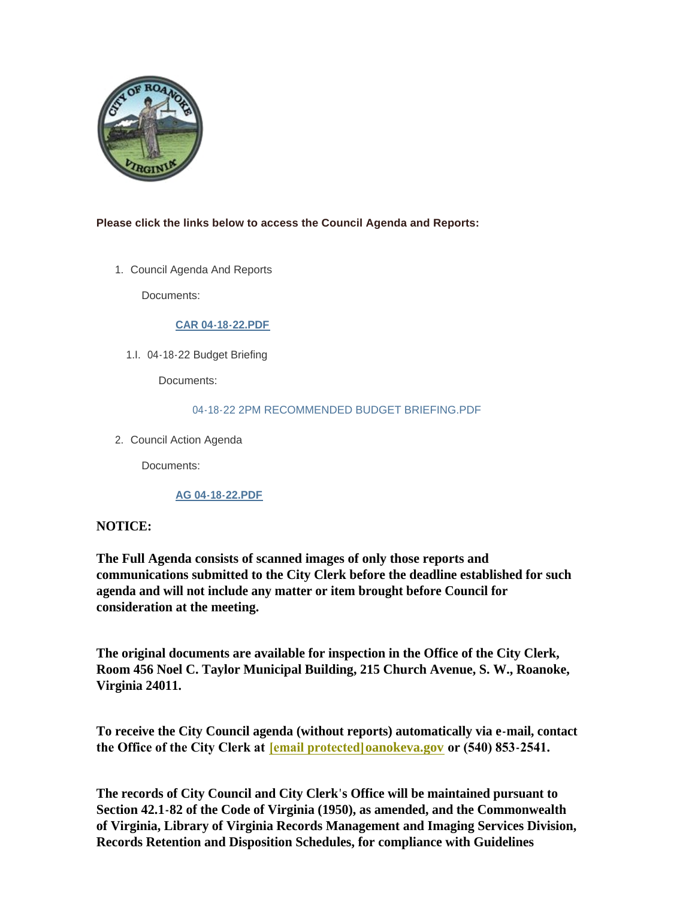

# **Please click the links below to access the Council Agenda and Reports:**

1. Council Agenda And Reports

Documents:

### **[CAR 04-18-22.PDF](https://www.roanokeva.gov/AgendaCenter/ViewFile/Item/1068?fileID=18783)**

04-18-22 Budget Briefing 1.I.

Documents:

### [04-18-22 2PM RECOMMENDED BUDGET BRIEFING.PDF](https://www.roanokeva.gov/AgendaCenter/ViewFile/Item/1070?fileID=18786)

2. Council Action Agenda

Documents:

# **[AG 04-18-22.PDF](https://www.roanokeva.gov/AgendaCenter/ViewFile/Item/1072?fileID=18792)**

# **NOTICE:**

**The Full Agenda consists of scanned images of only those reports and communications submitted to the City Clerk before the deadline established for such agenda and will not include any matter or item brought before Council for consideration at the meeting.**

**The original documents are available for inspection in the Office of the City Clerk, Room 456 Noel C. Taylor Municipal Building, 215 Church Avenue, S. W., Roanoke, Virginia 24011.**

**To receive the City Council agenda (without reports) automatically via e-mail, contact the Office of the City Clerk at [\[email protected\]](https://www.roanokeva.gov/cdn-cgi/l/email-protection#7d1e11180f163d0f121c131216180b1c531a120b)oanokeva.gov or (540) 853-2541.** 

**The records of City Council and City Clerk's Office will be maintained pursuant to Section 42.1-82 of the Code of Virginia (1950), as amended, and the Commonwealth of Virginia, Library of Virginia Records Management and Imaging Services Division, Records Retention and Disposition Schedules, for compliance with Guidelines**